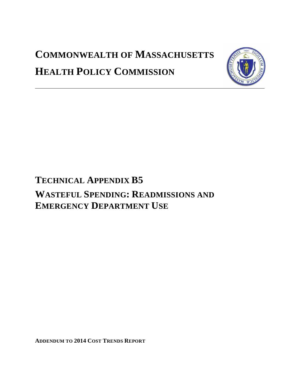# **COMMONWEALTH OF MASSACHUSETTS HEALTH POLICY COMMISSION**



## **TECHNICAL APPENDIX B5 WASTEFUL SPENDING: READMISSIONS AND EMERGENCY DEPARTMENT USE**

**ADDENDUM TO 2014 COST TRENDS REPORT**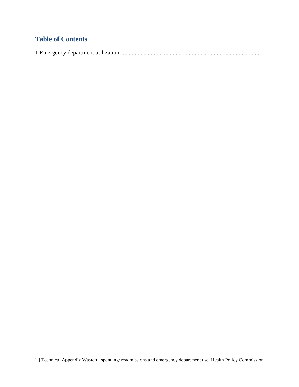### **Table of Contents**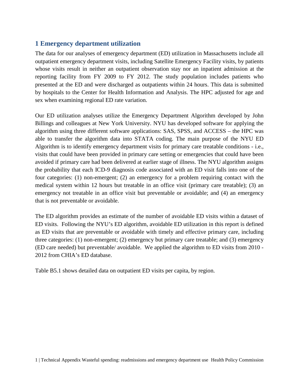#### <span id="page-2-0"></span>**1 Emergency department utilization**

The data for our analyses of emergency department (ED) utilization in Massachusetts include all outpatient emergency department visits, including Satellite Emergency Facility visits, by patients whose visits result in neither an outpatient observation stay nor an inpatient admission at the reporting facility from FY 2009 to FY 2012. The study population includes patients who presented at the ED and were discharged as outpatients within 24 hours. This data is submitted by hospitals to the Center for Health Information and Analysis. The HPC adjusted for age and sex when examining regional ED rate variation.

Our ED utilization analyses utilize the Emergency Department Algorithm developed by John Billings and colleagues at New York University. NYU has developed software for applying the algorithm using three different software applications: SAS, SPSS, and ACCESS – the HPC was able to transfer the algorithm data into STATA coding. The main purpose of the NYU ED Algorithm is to identify emergency department visits for primary care treatable conditions - i.e., visits that could have been provided in primary care setting or emergencies that could have been avoided if primary care had been delivered at earlier stage of illness. The NYU algorithm assigns the probability that each ICD-9 diagnosis code associated with an ED visit falls into one of the four categories: (1) non-emergent; (2) an emergency for a problem requiring contact with the medical system within 12 hours but treatable in an office visit (primary care treatable); (3) an emergency not treatable in an office visit but preventable or avoidable; and (4) an emergency that is not preventable or avoidable.

The ED algorithm provides an estimate of the number of avoidable ED visits within a dataset of ED visits. Following the NYU's ED algorithm, avoidable ED utilization in this report is defined as ED visits that are preventable or avoidable with timely and effective primary care, including three categories: (1) non-emergent; (2) emergency but primary care treatable; and (3) emergency (ED care needed) but preventable/ avoidable. We applied the algorithm to ED visits from 2010 - 2012 from CHIA's ED database.

Table B5.1 shows detailed data on outpatient ED visits per capita, by region.